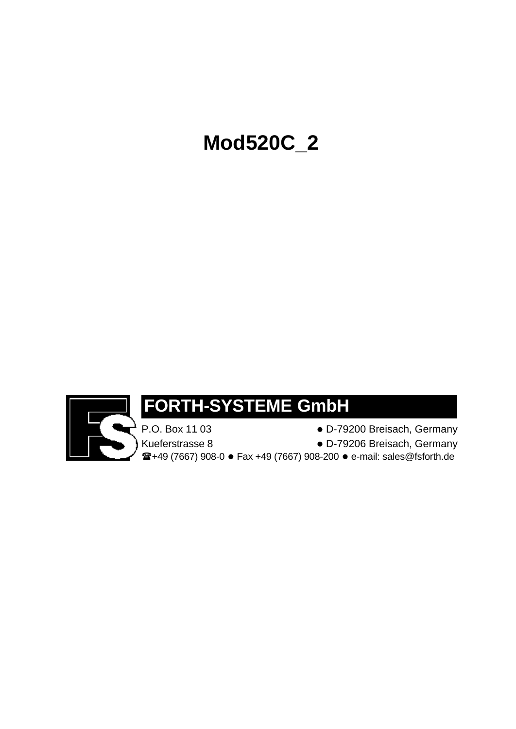# **Mod520C\_2**



## **FORTH-SYSTEME GmbH**

P.O. Box 11 03 **excess C** D-79200 Breisach, Germany Kueferstrasse 8 late block block block by D-79206 Breisach, Germany  $\mathbf{F}$ **+49 (7667) 908-0 · Fax +49 (7667) 908-200 · e-mail: sales@fsforth.de**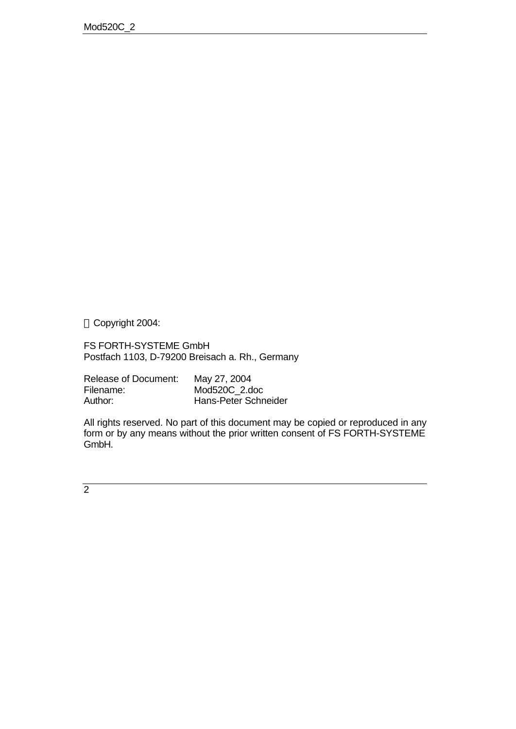Copyright 2004:

FS FORTH-SYSTEME GmbH Postfach 1103, D-79200 Breisach a. Rh., Germany

| <b>Release of Document:</b> | May 27, 2004         |
|-----------------------------|----------------------|
| Filename:                   | Mod520C 2.doc        |
| Author:                     | Hans-Peter Schneider |

All rights reserved. No part of this document may be copied or reproduced in any form or by any means without the prior written consent of FS FORTH-SYSTEME GmbH.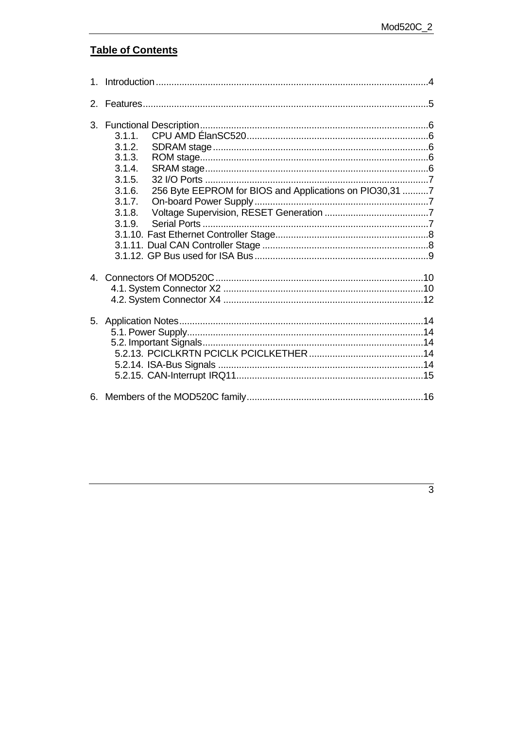## **Table of Contents**

| 2. |                                                                                                                                                   |  |
|----|---------------------------------------------------------------------------------------------------------------------------------------------------|--|
| 3. | 3.1.1.<br>3.1.2.<br>3.1.3.<br>3.1.4.<br>3.1.5.<br>256 Byte EEPROM for BIOS and Applications on PIO30,31 7<br>3.1.6.<br>3.1.7.<br>3.1.8.<br>3.1.9. |  |
|    |                                                                                                                                                   |  |
|    |                                                                                                                                                   |  |
|    |                                                                                                                                                   |  |
|    |                                                                                                                                                   |  |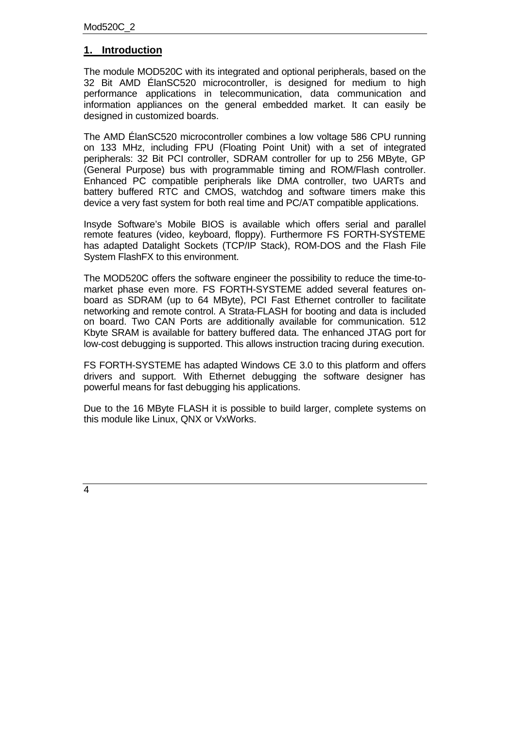#### **1. Introduction**

The module MOD520C with its integrated and optional peripherals, based on the 32 Bit AMD ÉlanSC520 microcontroller, is designed for medium to high performance applications in telecommunication, data communication and information appliances on the general embedded market. It can easily be designed in customized boards.

The AMD ÉlanSC520 microcontroller combines a low voltage 586 CPU running on 133 MHz, including FPU (Floating Point Unit) with a set of integrated peripherals: 32 Bit PCI controller, SDRAM controller for up to 256 MByte, GP (General Purpose) bus with programmable timing and ROM/Flash controller. Enhanced PC compatible peripherals like DMA controller, two UARTs and battery buffered RTC and CMOS, watchdog and software timers make this device a very fast system for both real time and PC/AT compatible applications.

Insyde Software's Mobile BIOS is available which offers serial and parallel remote features (video, keyboard, floppy). Furthermore FS FORTH-SYSTEME has adapted Datalight Sockets (TCP/IP Stack), ROM-DOS and the Flash File System FlashFX to this environment.

The MOD520C offers the software engineer the possibility to reduce the time-tomarket phase even more. FS FORTH-SYSTEME added several features onboard as SDRAM (up to 64 MByte), PCI Fast Ethernet controller to facilitate networking and remote control. A Strata-FLASH for booting and data is included on board. Two CAN Ports are additionally available for communication. 512 Kbyte SRAM is available for battery buffered data. The enhanced JTAG port for low-cost debugging is supported. This allows instruction tracing during execution.

FS FORTH-SYSTEME has adapted Windows CE 3.0 to this platform and offers drivers and support. With Ethernet debugging the software designer has powerful means for fast debugging his applications.

Due to the 16 MByte FLASH it is possible to build larger, complete systems on this module like Linux, QNX or VxWorks.

 $\overline{4}$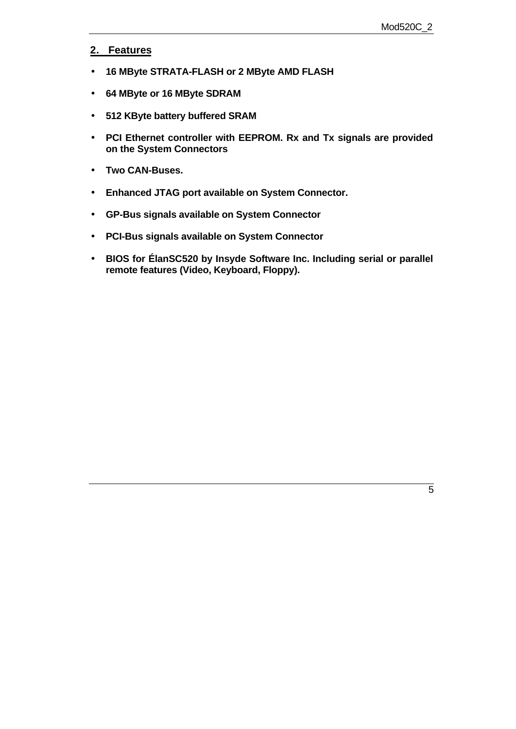#### **2. Features**

- **16 MByte STRATA-FLASH or 2 MByte AMD FLASH**
- **64 MByte or 16 MByte SDRAM**
- **512 KByte battery buffered SRAM**
- **PCI Ethernet controller with EEPROM. Rx and Tx signals are provided on the System Connectors**
- **Two CAN-Buses.**
- **Enhanced JTAG port available on System Connector.**
- **GP-Bus signals available on System Connector**
- **PCI-Bus signals available on System Connector**
- **BIOS for ÉlanSC520 by Insyde Software Inc. Including serial or parallel remote features (Video, Keyboard, Floppy).**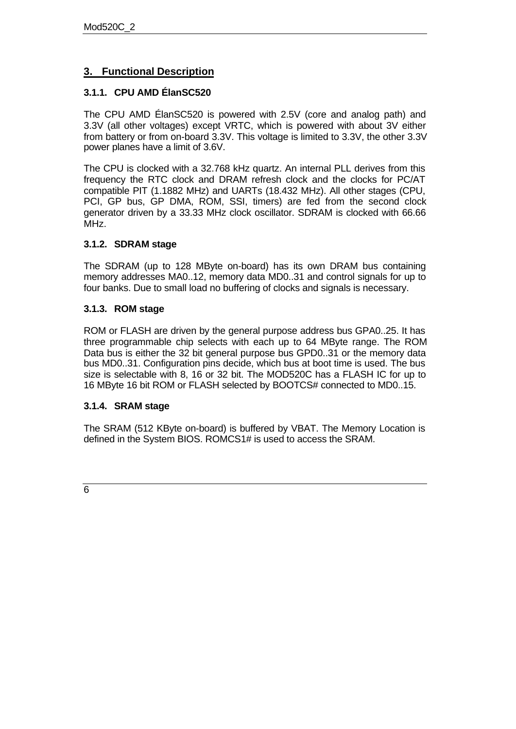#### **3. Functional Description**

#### **3.1.1. CPU AMD ÉlanSC520**

The CPU AMD ÉlanSC520 is powered with 2.5V (core and analog path) and 3.3V (all other voltages) except VRTC, which is powered with about 3V either from battery or from on-board 3.3V. This voltage is limited to 3.3V, the other 3.3V power planes have a limit of 3.6V.

The CPU is clocked with a 32.768 kHz quartz. An internal PLL derives from this frequency the RTC clock and DRAM refresh clock and the clocks for PC/AT compatible PIT (1.1882 MHz) and UARTs (18.432 MHz). All other stages (CPU, PCI, GP bus, GP DMA, ROM, SSI, timers) are fed from the second clock generator driven by a 33.33 MHz clock oscillator. SDRAM is clocked with 66.66 MHz.

#### **3.1.2. SDRAM stage**

The SDRAM (up to 128 MByte on-board) has its own DRAM bus containing memory addresses MA0..12, memory data MD0..31 and control signals for up to four banks. Due to small load no buffering of clocks and signals is necessary.

#### **3.1.3. ROM stage**

ROM or FLASH are driven by the general purpose address bus GPA0..25. It has three programmable chip selects with each up to 64 MByte range. The ROM Data bus is either the 32 bit general purpose bus GPD0..31 or the memory data bus MD0..31. Configuration pins decide, which bus at boot time is used. The bus size is selectable with 8, 16 or 32 bit. The MOD520C has a FLASH IC for up to 16 MByte 16 bit ROM or FLASH selected by BOOTCS# connected to MD0..15.

#### **3.1.4. SRAM stage**

The SRAM (512 KByte on-board) is buffered by VBAT. The Memory Location is defined in the System BIOS. ROMCS1# is used to access the SRAM.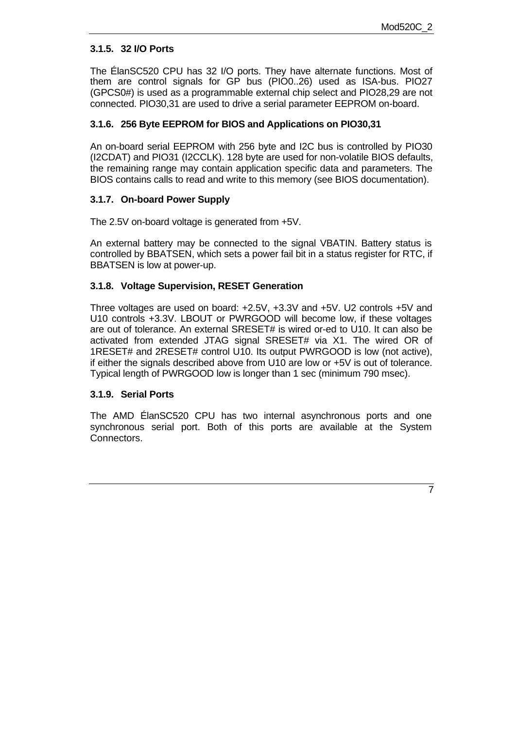#### **3.1.5. 32 I/O Ports**

The ÉlanSC520 CPU has 32 I/O ports. They have alternate functions. Most of them are control signals for GP bus (PIO0..26) used as ISA-bus. PIO27 (GPCS0#) is used as a programmable external chip select and PIO28,29 are not connected. PIO30,31 are used to drive a serial parameter EEPROM on-board.

#### **3.1.6. 256 Byte EEPROM for BIOS and Applications on PIO30,31**

An on-board serial EEPROM with 256 byte and I2C bus is controlled by PIO30 (I2CDAT) and PIO31 (I2CCLK). 128 byte are used for non-volatile BIOS defaults, the remaining range may contain application specific data and parameters. The BIOS contains calls to read and write to this memory (see BIOS documentation).

#### **3.1.7. On-board Power Supply**

The 2.5V on-board voltage is generated from +5V.

An external battery may be connected to the signal VBATIN. Battery status is controlled by BBATSEN, which sets a power fail bit in a status register for RTC, if BBATSEN is low at power-up.

#### **3.1.8. Voltage Supervision, RESET Generation**

Three voltages are used on board: +2.5V, +3.3V and +5V. U2 controls +5V and U10 controls +3.3V. LBOUT or PWRGOOD will become low, if these voltages are out of tolerance. An external SRESET# is wired or-ed to U10. It can also be activated from extended JTAG signal SRESET# via X1. The wired OR of 1RESET# and 2RESET# control U10. Its output PWRGOOD is low (not active), if either the signals described above from U10 are low or +5V is out of tolerance. Typical length of PWRGOOD low is longer than 1 sec (minimum 790 msec).

#### **3.1.9. Serial Ports**

The AMD ÉlanSC520 CPU has two internal asynchronous ports and one synchronous serial port. Both of this ports are available at the System Connectors.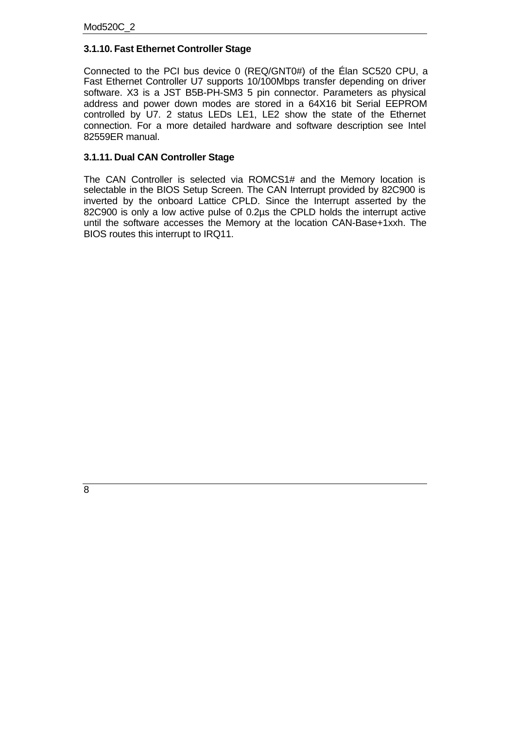#### **3.1.10. Fast Ethernet Controller Stage**

Connected to the PCI bus device 0 (REQ/GNT0#) of the Élan SC520 CPU, a Fast Ethernet Controller U7 supports 10/100Mbps transfer depending on driver software. X3 is a JST B5B-PH-SM3 5 pin connector. Parameters as physical address and power down modes are stored in a 64X16 bit Serial EEPROM controlled by U7. 2 status LEDs LE1, LE2 show the state of the Ethernet connection. For a more detailed hardware and software description see Intel 82559ER manual.

#### **3.1.11. Dual CAN Controller Stage**

The CAN Controller is selected via ROMCS1# and the Memory location is selectable in the BIOS Setup Screen. The CAN Interrupt provided by 82C900 is inverted by the onboard Lattice CPLD. Since the Interrupt asserted by the 82C900 is only a low active pulse of 0.2µs the CPLD holds the interrupt active until the software accesses the Memory at the location CAN-Base+1xxh. The BIOS routes this interrupt to IRQ11.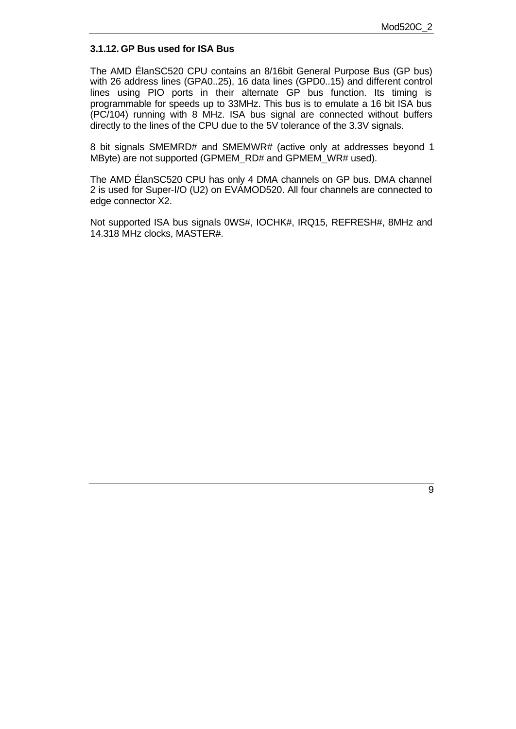#### **3.1.12. GP Bus used for ISA Bus**

The AMD ÉlanSC520 CPU contains an 8/16bit General Purpose Bus (GP bus) with 26 address lines (GPA0..25), 16 data lines (GPD0..15) and different control lines using PIO ports in their alternate GP bus function. Its timing is programmable for speeds up to 33MHz. This bus is to emulate a 16 bit ISA bus (PC/104) running with 8 MHz. ISA bus signal are connected without buffers directly to the lines of the CPU due to the 5V tolerance of the 3.3V signals.

8 bit signals SMEMRD# and SMEMWR# (active only at addresses beyond 1 MByte) are not supported (GPMEM\_RD# and GPMEM\_WR# used).

The AMD ÉlanSC520 CPU has only 4 DMA channels on GP bus. DMA channel 2 is used for Super-I/O (U2) on EVAMOD520. All four channels are connected to edge connector X2.

Not supported ISA bus signals 0WS#, IOCHK#, IRQ15, REFRESH#, 8MHz and 14.318 MHz clocks, MASTER#.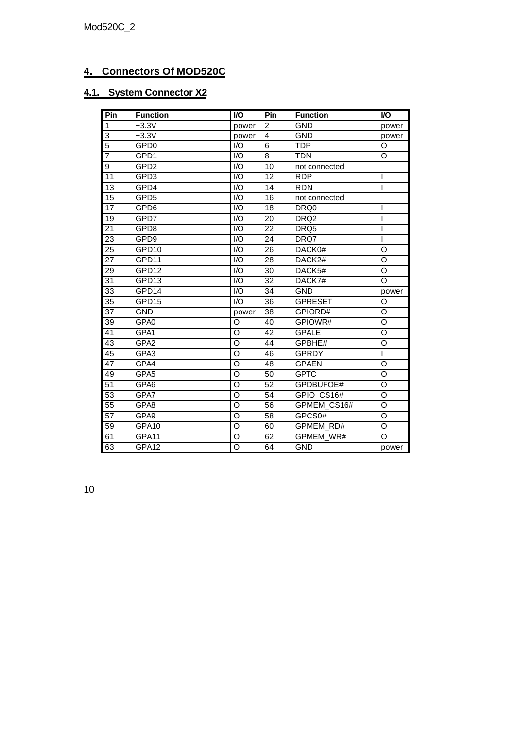## **4. Connectors Of MOD520C**

## **4.1. System Connector X2**

| Pin             | <b>Function</b>   | <b>VO</b>          | Pin            | <b>Function</b>  | I/O            |
|-----------------|-------------------|--------------------|----------------|------------------|----------------|
| $\mathbf{1}$    | $+3.3V$           | power              | $\overline{2}$ | <b>GND</b>       | power          |
| $\overline{3}$  | $+3.3V$           | power              | $\overline{4}$ | <b>GND</b>       | power          |
| $\overline{5}$  | GPD <sub>0</sub>  | I/O                | 6              | <b>TDP</b>       | O              |
| $\overline{7}$  | GPD1              | $\overline{1/O}$   | 8              | <b>TDN</b>       | O              |
| $\overline{9}$  | GPD <sub>2</sub>  | I/O                | 10             | not connected    |                |
| 11              | GPD3              | $\overline{1/O}$   | 12             | <b>RDP</b>       | I              |
| 13              | GPD4              | I/O                | 14             | <b>RDN</b>       | I              |
| 15              | GPD <sub>5</sub>  | $\overline{1/O}$   | 16             | not connected    |                |
| 17              | GPD6              | I/O                | 18             | DRQ0             | I              |
| 19              | GPD7              | $\overline{1/O}$   | 20             | DRQ <sub>2</sub> | I              |
| 21              | GPD8              | $\overline{1/O}$   | 22             | DRQ5             |                |
| 23              | GPD9              | I/O                | 24             | DRQ7             | ı              |
| 25              | GPD <sub>10</sub> | $\overline{1/O}$   | 26             | DACK0#           | O              |
| 27              | GPD11             | $\overline{1/O}$   | 28             | DACK2#           | $\circ$        |
| 29              | GPD12             | I/O                | 30             | DACK5#           | O              |
| 31              | GPD13             | I/O                | 32             | DACK7#           | $\circ$        |
| 33              | GPD14             | $\overline{1/O}$   | 34             | <b>GND</b>       | power          |
| 35              | GPD15             | I/O                | 36             | <b>GPRESET</b>   | O              |
| 37              | <b>GND</b>        | power              | 38             | GPIORD#          | O              |
| 39              | GPA <sub>0</sub>  | O                  | 40             | GPIOWR#          | $\circ$        |
| 41              | GPA1              | O                  | 42             | <b>GPALE</b>     | O              |
| 43              | GPA <sub>2</sub>  | $\overline{0}$     | 44             | GPBHE#           | O              |
| 45              | GPA3              | O                  | 46             | <b>GPRDY</b>     | T              |
| 47              | GPA4              | $\circ$            | 48             | <b>GPAEN</b>     | O              |
| 49              | GPA5              | $\overline{\circ}$ | 50             | <b>GPTC</b>      | O              |
| 51              | GPA6              | $\overline{0}$     | 52             | GPDBUFOE#        | $\overline{O}$ |
| $\overline{53}$ | GPA7              | O                  | 54             | GPIO CS16#       | $\overline{O}$ |
| 55              | GPA8              | O                  | 56             | GPMEM CS16#      | $\overline{O}$ |
| $\overline{57}$ | GPA9              | $\overline{\circ}$ | 58             | GPCS0#           | $\overline{O}$ |
| 59              | GPA <sub>10</sub> | O                  | 60             | <b>GPMEM RD#</b> | O              |
| 61              | GPA11             | O                  | 62             | GPMEM_WR#        | $\circ$        |
| 63              | GPA12             | O                  | 64             | <b>GND</b>       | power          |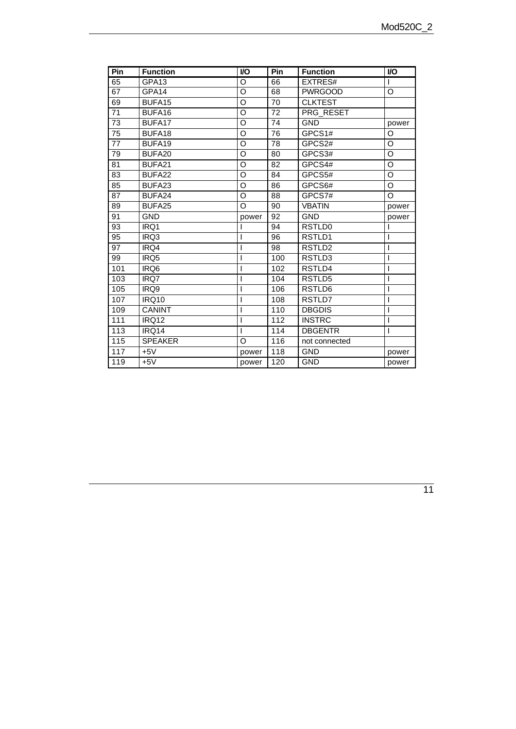| Pin              | <b>Function</b>    | I/O                | Pin | <b>Function</b> | <b>VO</b> |
|------------------|--------------------|--------------------|-----|-----------------|-----------|
| 65               | GPA <sub>13</sub>  | O                  | 66  | EXTRES#         |           |
| 67               | GPA14              | O                  | 68  | <b>PWRGOOD</b>  | O         |
| 69               | BUFA15             | $\overline{\circ}$ | 70  | <b>CLKTEST</b>  |           |
| 71               | BUFA <sub>16</sub> | O                  | 72  | PRG RESET       |           |
| 73               | BUFA17             | O                  | 74  | <b>GND</b>      | power     |
| $\overline{75}$  | BUFA18             | O                  | 76  | GPCS1#          | O         |
| 77               | BUFA19             | O                  | 78  | GPCS2#          | O         |
| $\overline{79}$  | BUFA20             | $\overline{\circ}$ | 80  | GPCS3#          | O         |
| 81               | BUFA21             | O                  | 82  | GPCS4#          | O         |
| 83               | BUFA22             | O                  | 84  | GPCS5#          | O         |
| 85               | BUFA <sub>23</sub> | O                  | 86  | GPCS6#          | O         |
| 87               | BUFA24             | O                  | 88  | GPCS7#          | O         |
| 89               | BUFA25             | O                  | 90  | <b>VBATIN</b>   | power     |
| 91               | <b>GND</b>         | power              | 92  | <b>GND</b>      | power     |
| 93               | IRQ1               |                    | 94  | RSTLD0          |           |
| 95               | IRQ3               | ı                  | 96  | RSTLD1          | ı         |
| 97               | IRQ4               |                    | 98  | RSTLD2          |           |
| 99               | IRQ5               |                    | 100 | RSTLD3          |           |
| 101              | IRQ <sub>6</sub>   |                    | 102 | RSTLD4          | ı         |
| 103              | IRQ7               | ı                  | 104 | RSTLD5          | ı         |
| 105              | IRQ9               | I                  | 106 | RSTLD6          | ı         |
| 107              | <b>IRQ10</b>       | I                  | 108 | RSTLD7          | I         |
| 109              | <b>CANINT</b>      |                    | 110 | <b>DBGDIS</b>   | ı         |
| 111              | IRQ12              |                    | 112 | <b>INSTRC</b>   | I         |
| $\overline{113}$ | IRQ14              | I                  | 114 | <b>DBGENTR</b>  | I         |
| 115              | <b>SPEAKER</b>     | O                  | 116 | not connected   |           |
| 117              | $+5V$              | power              | 118 | <b>GND</b>      | power     |
| 119              | $+5V$              | power              | 120 | <b>GND</b>      | power     |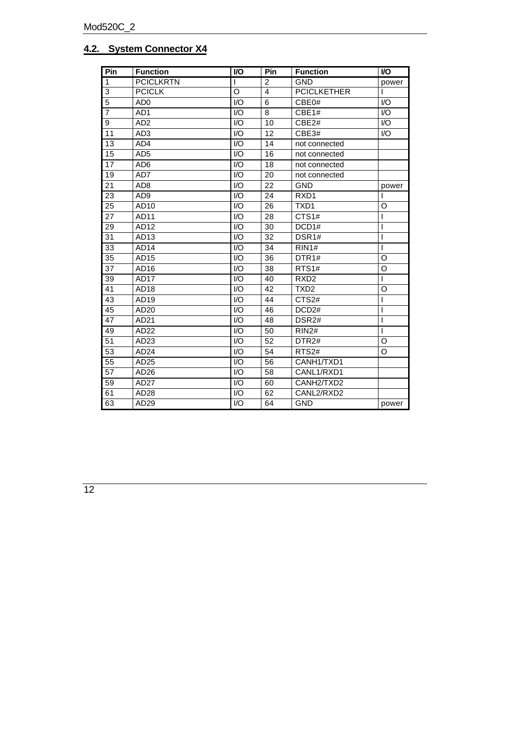#### **4.2. System Connector X4**

| Pin             | <b>Function</b>  | <b>VO</b>                   | Pin            | <b>Function</b>    | <b>VO</b>      |
|-----------------|------------------|-----------------------------|----------------|--------------------|----------------|
| 1               | <b>PCICLKRTN</b> | I                           | $\overline{2}$ | <b>GND</b>         | power          |
| 3               | <b>PCICLK</b>    | $\Omega$                    | $\overline{4}$ | <b>PCICLKETHER</b> |                |
| $\overline{5}$  | AD <sub>0</sub>  | $\overline{1}/\overline{O}$ | 6              | CBE0#              | 1/O            |
| $\overline{7}$  | AD <sub>1</sub>  | $\mathsf{IO}$               | 8              | CBE1#              | $\mathsf{IO}$  |
| 9               | AD <sub>2</sub>  | $\overline{1/O}$            | 10             | CBE2#              | I/O            |
| 11              | AD <sub>3</sub>  | I/O                         | 12             | CBE3#              | $\mathsf{IO}$  |
| 13              | AD4              | $\overline{1}/\overline{O}$ | 14             | not connected      |                |
| $\overline{15}$ | AD <sub>5</sub>  | I/O                         | 16             | not connected      |                |
| 17              | AD <sub>6</sub>  | $\overline{1/O}$            | 18             | not connected      |                |
| 19              | AD7              | I/O                         | 20             | not connected      |                |
| 21              | AD <sub>8</sub>  | I/O                         | 22             | <b>GND</b>         | power          |
| 23              | AD <sub>9</sub>  | 1/O                         | 24             | RXD <sub>1</sub>   | ı              |
| 25              | AD10             | 1/O                         | 26             | TXD <sub>1</sub>   | O              |
| 27              | AD11             | 1/O                         | 28             | CTS1#              | I              |
| 29              | AD12             | I/O                         | 30             | DCD1#              | $\overline{1}$ |
| 31              | AD13             | 1/O                         | 32             | DSR <sub>1#</sub>  | T              |
| 33              | AD <sub>14</sub> | I/O                         | 34             | RIN1#              | $\mathbf{I}$   |
| 35              | AD15             | I/O                         | 36             | DTR <sub>1#</sub>  | O              |
| 37              | AD <sub>16</sub> | I/O                         | 38             | RTS <sub>1#</sub>  | O              |
| 39              | AD <sub>17</sub> | 1/O                         | 40             | RXD <sub>2</sub>   | T              |
| 41              | AD18             | I/O                         | 42             | TXD <sub>2</sub>   | O              |
| 43              | AD19             | 1/O                         | 44             | CTS <sub>2#</sub>  | I              |
| 45              | AD20             | I/O                         | 46             | DCD <sub>2#</sub>  | I              |
| 47              | AD21             | 1/O                         | 48             | DSR <sub>2#</sub>  | T              |
| 49              | AD22             | I/O                         | 50             | RIN2#              | T              |
| 51              | AD23             | $\mathsf{IO}$               | 52             | DTR <sub>2#</sub>  | O              |
| 53              | AD24             | $U$                         | 54             | RTS <sub>2#</sub>  | O              |
| 55              | AD25             | I/O                         | 56             | CANH1/TXD1         |                |
| 57              | AD26             | I/O                         | 58             | CANL1/RXD1         |                |
| 59              | AD27             | I/O                         | 60             | CANH2/TXD2         |                |
| 61              | AD28             | I/O                         | 62             | CANL2/RXD2         |                |
| 63              | AD29             | I/O                         | 64             | <b>GND</b>         | power          |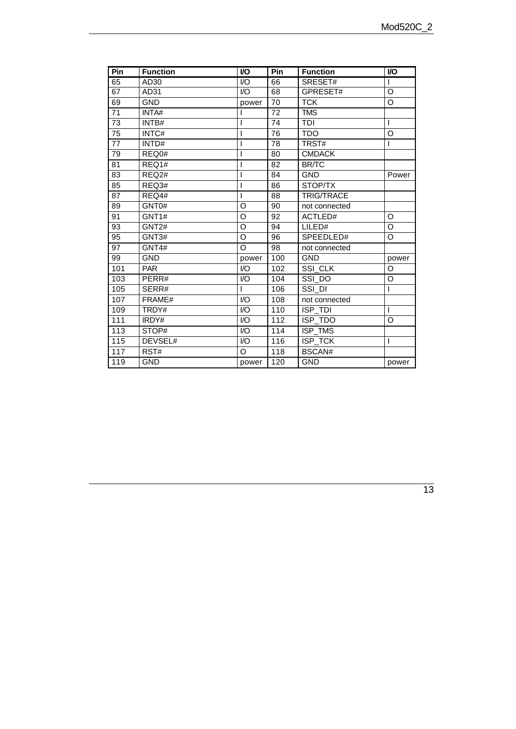| Pin             | <b>Function</b>    | I/O              | Pin<br><b>Function</b> |                   | <b>VO</b>          |
|-----------------|--------------------|------------------|------------------------|-------------------|--------------------|
| 65              | AD30               | $\overline{1/O}$ | 66                     | SRESET#           |                    |
| 67              | AD31               | I/O              | 68                     | GPRESET#          | O                  |
| 69              | <b>GND</b>         | power            | 70                     | <b>TCK</b>        | O                  |
| 71              | INTA#              |                  | 72                     | <b>TMS</b>        |                    |
| 73              | INTB#              | I                | 74                     | TDI               | T                  |
| 75              | INTC#              | I                | 76                     | <b>TDO</b>        | O                  |
| $\overline{77}$ | INTD#              |                  | 78                     | TRST#             | L                  |
| 79              | REQ0#              | I                | 80                     | <b>CMDACK</b>     |                    |
| 81              | REQ1#              | ı                | 82                     | <b>BR/TC</b>      |                    |
| 83              | REQ <sub>2</sub> # | ı                | 84                     | <b>GND</b>        | Power              |
| 85              | REQ3#              | ı                | 86                     | STOP/TX           |                    |
| 87              | REQ4#              | ı                | 88                     | <b>TRIG/TRACE</b> |                    |
| 89              | GNT0#              | O                | 90                     | not connected     |                    |
| 91              | GNT1#              | O                | 92                     | ACTLED#           | O                  |
| 93              | GNT <sub>2#</sub>  | O                | 94                     | LILED#            | O                  |
| 95              | GNT3#              | O                | 96                     | SPEEDLED#         | O                  |
| 97              | GNT4#              | O                | 98                     | not connected     |                    |
| 99              | <b>GND</b>         | power            | 100                    | <b>GND</b>        | power              |
| 101             | <b>PAR</b>         | $U$              | 102                    | SSI CLK           | O                  |
| 103             | PERR#              | $\overline{10}$  | 104                    | SSI DO            | $\overline{\rm o}$ |
| 105             | SERR#              | I                | 106                    | SSI DI            | L                  |
| 107             | FRAME#             | I/O              | 108                    | not connected     |                    |
| 109             | TRDY#              | 1/O              | 110                    | $ISP_TDI$         | T                  |
| 111             | IRDY#              | I/O              | 112                    | ISP_TDO           | O                  |
| 113             | STOP#              | I/O              | 114                    | ISP_TMS           |                    |
| 115             | DEVSEL#            | I/O              | 116                    | ISP_TCK           | I                  |
| 117             | RST#               | O                | 118                    | BSCAN#            |                    |
| 119             | <b>GND</b>         | power            | 120                    | <b>GND</b>        | power              |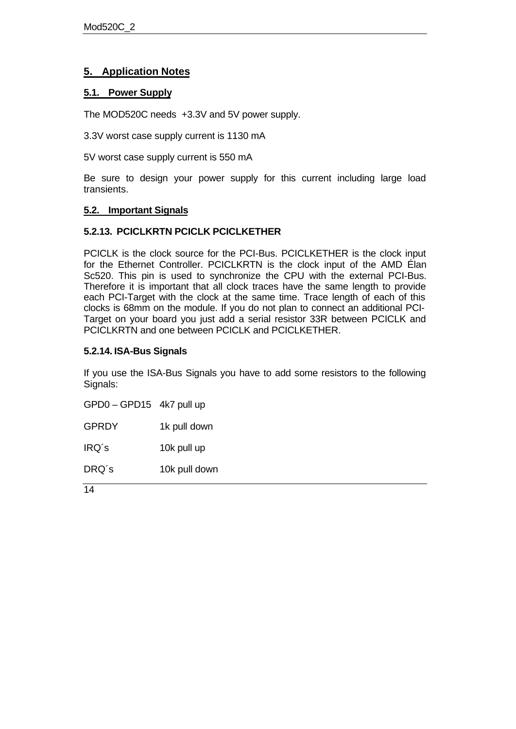#### **5. Application Notes**

#### **5.1. Power Supply**

The MOD520C needs +3.3V and 5V power supply.

3.3V worst case supply current is 1130 mA

5V worst case supply current is 550 mA

Be sure to design your power supply for this current including large load transients.

#### **5.2. Important Signals**

#### **5.2.13. PCICLKRTN PCICLK PCICLKETHER**

PCICLK is the clock source for the PCI-Bus. PCICLKETHER is the clock input for the Ethernet Controller. PCICLKRTN is the clock input of the AMD Élan Sc520. This pin is used to synchronize the CPU with the external PCI-Bus. Therefore it is important that all clock traces have the same length to provide each PCI-Target with the clock at the same time. Trace length of each of this clocks is 68mm on the module. If you do not plan to connect an additional PCI-Target on your board you just add a serial resistor 33R between PCICLK and PCICLKRTN and one between PCICLK and PCICLKETHER.

#### **5.2.14. ISA-Bus Signals**

If you use the ISA-Bus Signals you have to add some resistors to the following Signals:

GPD0 – GPD15 4k7 pull up

GPRDY 1k pull down

IRQ´s 10k pull up

DRQ´s 10k pull down

 $\overline{14}$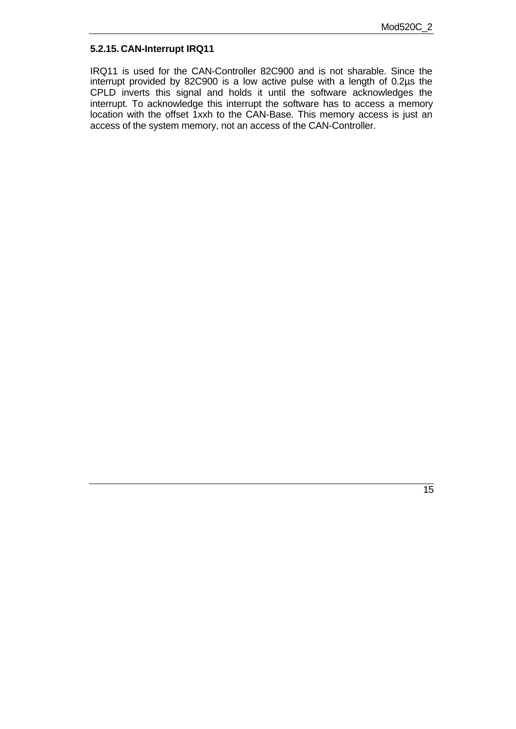#### **5.2.15. CAN-Interrupt IRQ11**

IRQ11 is used for the CAN-Controller 82C900 and is not sharable. Since the interrupt provided by 82C900 is a low active pulse with a length of 0.2µs the CPLD inverts this signal and holds it until the software acknowledges the interrupt. To acknowledge this interrupt the software has to access a memory location with the offset 1xxh to the CAN-Base. This memory access is just an access of the system memory, not an access of the CAN-Controller.